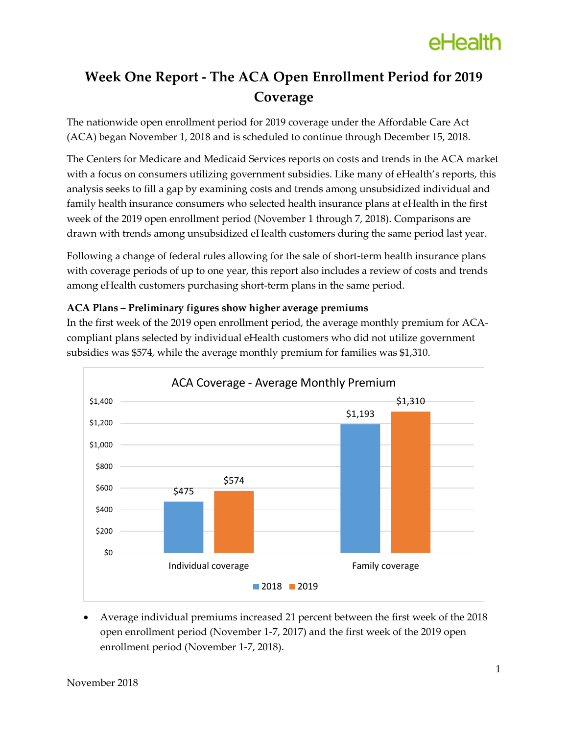### **Week One Report - The ACA Open Enrollment Period for 2019 Coverage**

The nationwide open enrollment period for 2019 coverage under the Affordable Care Act (ACA) began November 1, 2018 and is scheduled to continue through December 15, 2018.

The Centers for Medicare and Medicaid Services reports on costs and trends in the ACA market with a focus on consumers utilizing government subsidies. Like many of eHealth's reports, this analysis seeks to fill a gap by examining costs and trends among unsubsidized individual and family health insurance consumers who selected health insurance plans at eHealth in the first week of the 2019 open enrollment period (November 1 through 7, 2018). Comparisons are drawn with trends among unsubsidized eHealth customers during the same period last year.

Following a change of federal rules allowing for the sale of short-term health insurance plans with coverage periods of up to one year, this report also includes a review of costs and trends among eHealth customers purchasing short-term plans in the same period.

### **ACA Plans – Preliminary figures show higher average premiums**

In the first week of the 2019 open enrollment period, the average monthly premium for ACAcompliant plans selected by individual eHealth customers who did not utilize government subsidies was \$574, while the average monthly premium for families was \$1,310.



 Average individual premiums increased 21 percent between the first week of the 2018 open enrollment period (November 1-7, 2017) and the first week of the 2019 open enrollment period (November 1-7, 2018).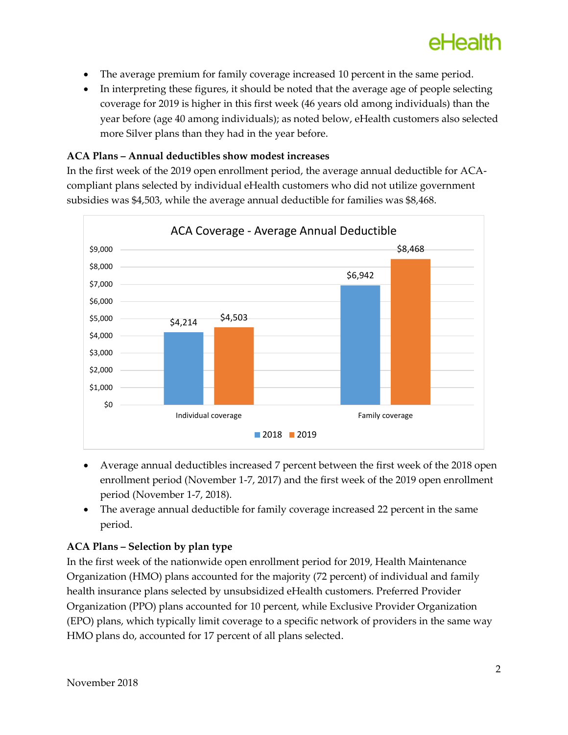- The average premium for family coverage increased 10 percent in the same period.
- In interpreting these figures, it should be noted that the average age of people selecting coverage for 2019 is higher in this first week (46 years old among individuals) than the year before (age 40 among individuals); as noted below, eHealth customers also selected more Silver plans than they had in the year before.

### **ACA Plans – Annual deductibles show modest increases**

In the first week of the 2019 open enrollment period, the average annual deductible for ACAcompliant plans selected by individual eHealth customers who did not utilize government subsidies was \$4,503, while the average annual deductible for families was \$8,468.



- Average annual deductibles increased 7 percent between the first week of the 2018 open enrollment period (November 1-7, 2017) and the first week of the 2019 open enrollment period (November 1-7, 2018).
- The average annual deductible for family coverage increased 22 percent in the same period.

### **ACA Plans – Selection by plan type**

In the first week of the nationwide open enrollment period for 2019, Health Maintenance Organization (HMO) plans accounted for the majority (72 percent) of individual and family health insurance plans selected by unsubsidized eHealth customers. Preferred Provider Organization (PPO) plans accounted for 10 percent, while Exclusive Provider Organization (EPO) plans, which typically limit coverage to a specific network of providers in the same way HMO plans do, accounted for 17 percent of all plans selected.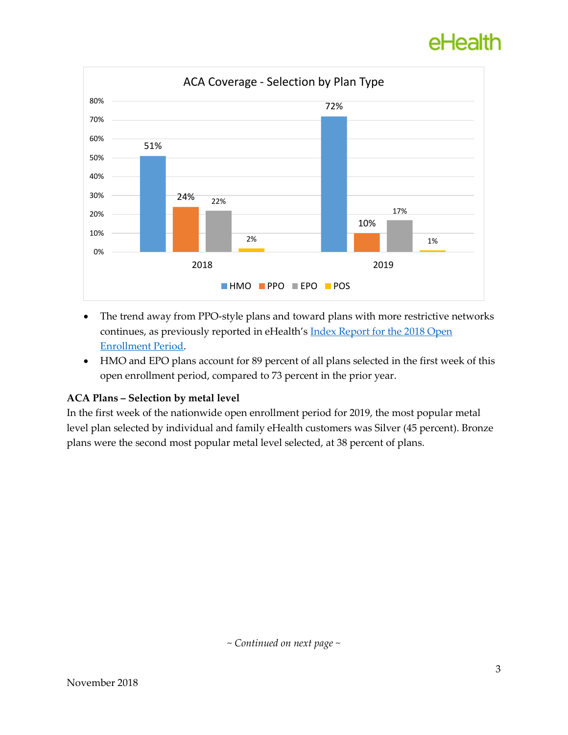## eHealth



- The trend away from PPO-style plans and toward plans with more restrictive networks continues, as previously reported in eHealth's **Index Report for the 2018 Open** [Enrollment Period.](https://news.ehealthinsurance.com/_ir/68/20188/eHealth%20Health%20Insurance%20Index%20Report%20for%20the%202018%20OEP.pdf)
- HMO and EPO plans account for 89 percent of all plans selected in the first week of this open enrollment period, compared to 73 percent in the prior year.

### **ACA Plans – Selection by metal level**

In the first week of the nationwide open enrollment period for 2019, the most popular metal level plan selected by individual and family eHealth customers was Silver (45 percent). Bronze plans were the second most popular metal level selected, at 38 percent of plans.

*~ Continued on next page ~*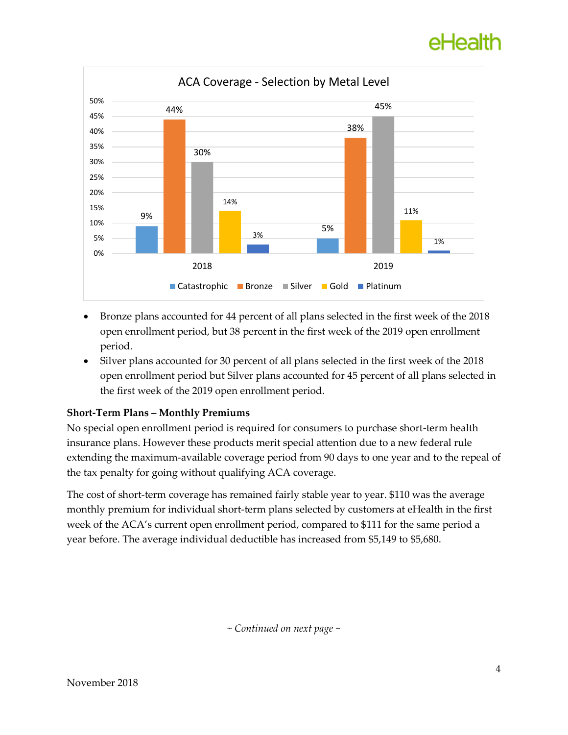# eHealth



- Bronze plans accounted for 44 percent of all plans selected in the first week of the 2018 open enrollment period, but 38 percent in the first week of the 2019 open enrollment period.
- Silver plans accounted for 30 percent of all plans selected in the first week of the 2018 open enrollment period but Silver plans accounted for 45 percent of all plans selected in the first week of the 2019 open enrollment period.

### **Short-Term Plans – Monthly Premiums**

No special open enrollment period is required for consumers to purchase short-term health insurance plans. However these products merit special attention due to a new federal rule extending the maximum-available coverage period from 90 days to one year and to the repeal of the tax penalty for going without qualifying ACA coverage.

The cost of short-term coverage has remained fairly stable year to year. \$110 was the average monthly premium for individual short-term plans selected by customers at eHealth in the first week of the ACA's current open enrollment period, compared to \$111 for the same period a year before. The average individual deductible has increased from \$5,149 to \$5,680.

*~ Continued on next page ~*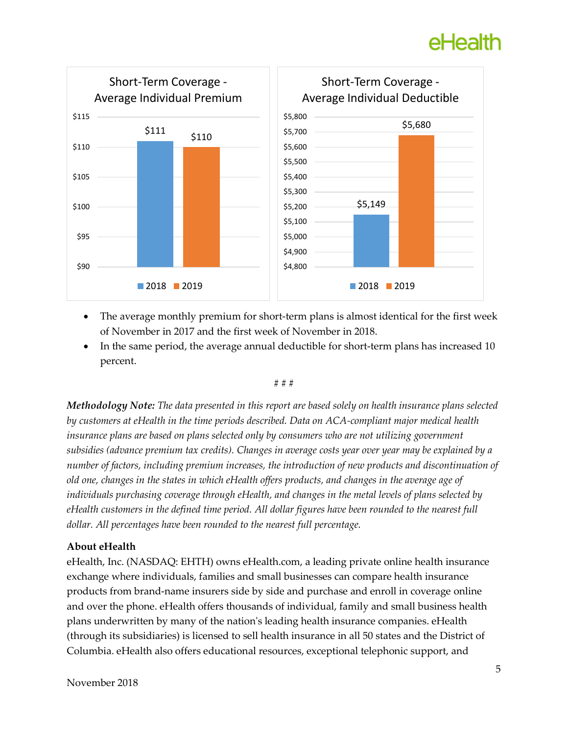## eHealth



- The average monthly premium for short-term plans is almost identical for the first week of November in 2017 and the first week of November in 2018.
- In the same period, the average annual deductible for short-term plans has increased 10 percent.

#### # # #

*Methodology Note: The data presented in this report are based solely on health insurance plans selected by customers at eHealth in the time periods described. Data on ACA-compliant major medical health insurance plans are based on plans selected only by consumers who are not utilizing government subsidies (advance premium tax credits). Changes in average costs year over year may be explained by a number of factors, including premium increases, the introduction of new products and discontinuation of old one, changes in the states in which eHealth offers products, and changes in the average age of individuals purchasing coverage through eHealth, and changes in the metal levels of plans selected by eHealth customers in the defined time period. All dollar figures have been rounded to the nearest full dollar. All percentages have been rounded to the nearest full percentage.*

#### **About eHealth**

eHealth, Inc. (NASDAQ: EHTH) owns eHealth.com, a leading private online health insurance exchange where individuals, families and small businesses can compare health insurance products from brand-name insurers side by side and purchase and enroll in coverage online and over the phone. eHealth offers thousands of individual, family and small business health plans underwritten by many of the nation's leading health insurance companies. eHealth (through its subsidiaries) is licensed to sell health insurance in all 50 states and the District of Columbia. eHealth also offers educational resources, exceptional telephonic support, and